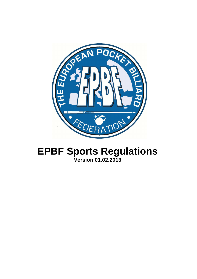

# **EPBF Sports Regulations Version 01.02.2013**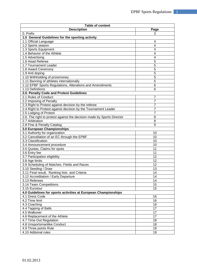| <b>Table of content</b>                                                |                 |  |  |  |  |
|------------------------------------------------------------------------|-----------------|--|--|--|--|
| <b>Description</b>                                                     | Page            |  |  |  |  |
| 0. Prefix                                                              | 3               |  |  |  |  |
| 1.0 General Guidelines for the sporting activity                       |                 |  |  |  |  |
| 1.1 Official Language                                                  | 4               |  |  |  |  |
| 1.2 Sports season                                                      | 4               |  |  |  |  |
| 1.3 Sports Equipment                                                   | 4               |  |  |  |  |
| 1.4 Behavior of the Athlete                                            | 4               |  |  |  |  |
| 1.5 Advertising                                                        | 4               |  |  |  |  |
| 1.6 Head Referee                                                       | 5               |  |  |  |  |
| 1.7 Tournament Leader                                                  | 5               |  |  |  |  |
| 1.8 Award Ceremony                                                     | 5               |  |  |  |  |
| 1.9 Anti doping                                                        | 5               |  |  |  |  |
| 1.10 Withholding of prizemoney                                         | 5               |  |  |  |  |
| 1.11 Banning of athletes internationally                               | 5               |  |  |  |  |
| 1.12 EPBF Sports Regulations, Alterations and Amendments               | 6               |  |  |  |  |
| 1.13 Definitions                                                       | 6               |  |  |  |  |
| 2.0. Penalty Code and Protest Guidelines                               |                 |  |  |  |  |
| 2.1 Rules of Conduct                                                   | $\overline{7}$  |  |  |  |  |
| 2.2 Imposing of Penalty                                                | $\overline{7}$  |  |  |  |  |
| 2.3 Right to Protest against decision by the referee                   | $\overline{7}$  |  |  |  |  |
| 2.4 Right to Protest against decision by the Tournament Leader         | $\overline{7}$  |  |  |  |  |
| 2.5 Lodging of Protest                                                 | $\overline{7}$  |  |  |  |  |
| 2.6. The right to protest against the decision made by Sports Director | 8               |  |  |  |  |
| 2.7 Arbitration                                                        | 8               |  |  |  |  |
| 2.8 Fine & Penalty Catalog                                             | 9               |  |  |  |  |
| 3.0 European Championships                                             |                 |  |  |  |  |
| 3.1 Authority for organization                                         | 10              |  |  |  |  |
| 3.2 Cancellation of an EC through the EPBF                             | 10              |  |  |  |  |
| 3.3 Classification                                                     | 10              |  |  |  |  |
| 3.4 Announcement procedure                                             | 10              |  |  |  |  |
| 3.5 Quotas, Claims for spots                                           | 11              |  |  |  |  |
| 3.6 Entry fee                                                          | 11              |  |  |  |  |
| 3.7 Participation eligibility                                          | 12              |  |  |  |  |
| 3.8 Age limits                                                         | 12              |  |  |  |  |
| 3.9 Scheduling of Matches, Fields and Races                            | 12              |  |  |  |  |
| 3.10 Seeding / Draw                                                    | 13              |  |  |  |  |
| 3.11 Final result, Ranking lists and Criteria                          | $\overline{14}$ |  |  |  |  |
| 3.12 Accreditation / Early Departure                                   | 14              |  |  |  |  |
| 3.13 Referees                                                          | 14              |  |  |  |  |
| 3.14 Team Competitions                                                 | 15              |  |  |  |  |
| 3.15 Eurotour                                                          | 15              |  |  |  |  |
| 4.0 Guidelines for sports activities at European Championships         |                 |  |  |  |  |
| 4.1 Dress Code                                                         | 16              |  |  |  |  |
| 4.2 Time limit                                                         | 16              |  |  |  |  |
| 4.3 Coaching                                                           | 16              |  |  |  |  |
| 4.4 Tapping of Balls                                                   | 17              |  |  |  |  |
| 4.5 Walkover                                                           | 17              |  |  |  |  |
| 4.6 Replacement of the Athlete                                         | 17              |  |  |  |  |
| 4.7 Time-Out Regulation                                                | 18              |  |  |  |  |
| 4.8 Unsportsmanlike Conduct                                            | 18              |  |  |  |  |
| 4.9 Three points Rule                                                  | 19              |  |  |  |  |
| 4.10 Aditional rules                                                   | 19              |  |  |  |  |
|                                                                        |                 |  |  |  |  |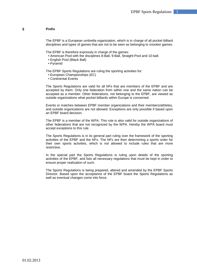# **§ Prefix**

The EPBF is a European umbrella organization, which is in charge of all pocket billiard disciplines and types of games that are not to be seen as belonging to snooker games.

The EPBF is therefore expressly in charge of the games:

- American Pool with the disciplines 8-Ball, 9-Ball, Straight-Pool and 10-ball.
- English Pool (Black Ball)
- Pyramid

The EPBF Sports Regulations are ruling the sporting activities for:

- European Championships (EC)
- Continental Events

The Sports Regulations are valid for all NFs that are members of the EPBF and are accepted by them. Only one federation from within one and the same nation can be accepted as a member. Other federations, not belonging to the EPBF, are viewed as outside organizations what pocket billiards within Europe is concerned.

Events or matches between EPBF member organizations and their members/athletes, and outside organizations are not allowed. Exceptions are only possible if based upon an EPBF board decision.

The EPBF is a member of the WPA. This rule is also valid for outside organizations of other federations that are not recognized by the WPA. Hereby the WPA board must accept exceptions to this rule.

The Sports Regulations is in its general part ruling over the framework of the sporting activities of the EPBF and the NFs. The NFs are then determining a sports order for their own sports activities, which is not allowed to include rules that are more restrictive.

In the special part the Sports Regulations is ruling upon details of the sporting activities of the EPBF, and lists all necessary regulations that must be kept in order to ensure proper realization of such.

The Sports Regulations is being prepared, altered and amended by the EPBF Sports Director. Based upon the acceptance of the EPBF board the Sports Regulations as well as eventual changes come into force.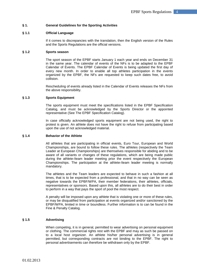# **§ 1. General Guidelines for the Sporting Activities**

# **§ 1.1 Official Language**

If it comes to discrepancies with the translation, then the English version of the Rules and the Sports Regulations are the official versions.

#### **§ 1.2 Sports season**

The sport season of the EPBF starts January 1 each year and ends on December 31 in the same year. The calendar of events of the NFs is to be adapted to the EPBF Calendar of Events. The EPBF Calendar of Events is being updated the first day of every new month. In order to enable all top athletes participation in the events organized by the EPBF, the NFs are requested to keep such dates free, to avoid collision.

Rescheduling of events already listed in the Calendar of Events releases the NFs from the above responsibility.

#### **§ 1.3 Sports Equipment**

The sports equipment must meet the specifications listed in the EPBF Specification Catalog, and must be acknowledged by the Sports Director or the appointed representative (See The EPBF Specification Catalog).

In case officially acknowledged sports equipment are not being used, the right to protest is given. An athlete does not have the right to refuse from participating based upon the use of not acknowledged material.

#### **§ 1.4 Behavior of the Athlete**

All athletes that are participating in official events, Euro Tour, European and World Championships, are bound to follow these rules. The athletes (respectively the Team Leader at European Championships) are themselves responsible for abiding and to be aware of all variants or changes of these regulations, which are being made public during the athlete-/team leader meeting prior the event respectively the European Championships. The participation at the athlete-/team leader meeting is normally mandatory.

The athletes and the Team leaders are expected to behave in such a fashion at all times, that is to be expected from a professional, and that in no way can be seen as negative towards the EPBF/WPA, their member federations, their athletes, officials, representatives or sponsors. Based upon this, all athletes are to do their best in order to perform in a way that pays the sport of pool the most respect.

A penalty will be imposed upon any athlete that is violating one or more of these rules, or may be disqualified from participation at events organized and/or sanctioned by the EPBF/WPA, limited in time or boundless. Further information is to can be found in the Fine & Penalty Catalog.

# **§ 1.5 Advertising**

When competing, it is in general, permitted to wear advertising on personal equipment or clothing. The commercial rights rest with the EPBF and may as such be passed on to a local host organizer. An athlete his/her personal advertising is in general permitted, but corresponding contracts are not binding to the EPBF. The right to personal advertisements can therefore be withdrawn only by the EPBF.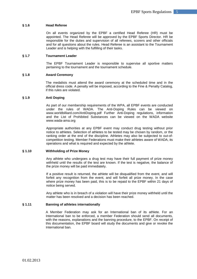# **§ 1.6 Head Referee**

On all events organized by the EPBF a certified Head Referee (HR) must be appointed. The Head Referee will be approved by the EPBF Sports Director. HR be responsible for the duties and supervision of all referees, scorers and other officials and for all questions about the rules. Head Referee is an assistant to the Tournament Leader and is helping with the fulfilling of their tasks.

#### **§ 1.7 Tournament Leader**

The EPBF Tournament Leader is responsible to supervise all sportive matters pertaining to the tournament and the tournament schedule.

#### **§ 1.8 Award Ceremony**

The medalists must attend the award ceremony at the scheduled time and in the official dress code. A penalty will be imposed, according to the Fine & Penalty Catalog, if this rules are violated.

#### **§ 1.9 Anti Doping**

As part of our membership requirements of the WPA, all EPBF events are conducted under the rules of WADA. The Anti-Doping Rules can be viewed on www.worldbilliard.com/AntiDoping.pdf Further Anti-Doping regulations, information and the List of Prohibited Substances can be viewed on the WADA website www.wada-ama.org

Appropriate authorities at any EPBF event may conduct drug testing without prior notice to athletes. Selection of athletes to be tested may be chosen by random, or the ranking order at the end of the discipline. Athletes may also be subjected to out-ofcompetition testing. Member Federations must make their athletes aware of WADA, its operations and what is required and expected by the athlete.

#### **§ 1.10 Withholding of Prize Money**

Any athlete who undergoes a drug test may have their full payment of prize money withheld until the results of the test are known. If the test is negative, the balance of the prize money will be paid immediately.

If a positive result is returned, the athlete will be disqualified from the event, and will forfeit any recognition from the event, and will forfeit all prize money. In the case where prize money has been paid, this is to be repaid to the EPBF within 21 days of notice being served.

Any athlete who is in breach of a violation will have their prize money withheld until the matter has been resolved and a decision has been reached.

# **§ 1.11 Banning of athletes internationally**

A Member Federation may ask for an International ban of its athlete. For an International ban to be enforced, a member Federation should send all documents, with the reasons, explanations and the banning procedure, to the EPBF. On receipt of this documentation, the EPBF board will study the documents and give or revoke the International ban.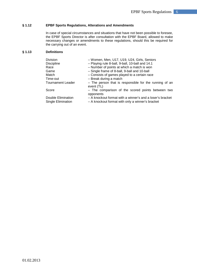# **§ 1.12 EPBF Sports Regulations, Alterations and Amendments**

In case of special circumstances and situations that have not been possible to foresee, the EPBF Sports Director is after consultation with the EPBF Board, allowed to make necessary changes or amendments to these regulations, should this be required for the carrying out of an event.

# **§ 1.13 Definitions**

| Division                                 | - Women, Men, U17, U19, U24, Girls, Seniors                                                                   |
|------------------------------------------|---------------------------------------------------------------------------------------------------------------|
| <b>Discipline</b>                        | - Playing rule 8-ball, 9-ball, 10-ball and 14.1                                                               |
| Race                                     | - Number of points at which a match is won                                                                    |
| Game                                     | - Single frame of 8-ball, 9-ball and 10-ball                                                                  |
| Match                                    | - Consists of games played to a certain race                                                                  |
| Time-out                                 | - Break during a match                                                                                        |
| <b>Tournament Leader</b>                 | - The person that is responsible for the running of an<br>event (TL)                                          |
| Score                                    | - The comparison of the scored points between two<br>opponents                                                |
| Double Elimination<br>Single Elimination | - A knockout format with a winner's and a loser's bracket<br>- A knockout format with only a winner's bracket |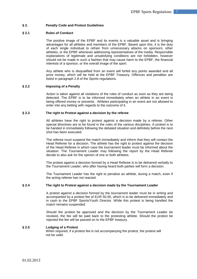# **§ 2. Penalty Code and Protest Guidelines**

#### **§ 2.1 Rules of Conduct**

The positive image of the EPBF and its events is a valuable asset and is bringing advantages for all athletes and members of the EPBF. Based upon this, it is the duty of each single individual to refrain from unnecessary attacks on sponsors, other athletes, or the EPBF whenever addressing representatives of the media. Responsible explanations of legitimate and unsatisfying conditions are not forbidden, however should not be made in such a fashion that may cause harm to the EPBF, the financial interests of a sponsor, or the overall image of the sport.

Any athlete who is disqualified from an event will forfeit any points awarded and all prize money, which will be held at the EPBF Treasury. Offences and penalties are listed in paragraph 2.8 of the Sports regulations.

#### **§ 2.2 Imposing of a Penalty**

Action is taken against all violations of the rules of conduct as soon as they are being detected. The EPBF is to be informed immediately when an athlete in an event is being offered money or presents. Athletes participating in an event are not allowed to enter into any betting with regards to the outcome of it.

# **§ 2.3 The right to Protest against a decision by the referee**

All athletes have the right to protest against a decision made by a referee. Other special directives are to be found in the rules of the various disciplines. A protest is to be handed in immediately following the debated situation and definitely before the next shot has been executed.

The referee must suspend the match immediately and inform that they will contact the Head Referee for a decision. The athlete has the right to protest against the decision of the Head Referee in which case the tournament leader must be informed about the situation. The Tournament Leader may following the report by the Head Referee decide to also ask for the opinion of one or both athletes.

The protest against a decision formed by a Head Referee is to be delivered verbally to the Tournament Leader, who after having heard both parties will form a decision.

The Tournament Leader has the right to penalize an athlete, during a match, even if the acting referee has not reacted.

#### **§ 2.4 The right to Protest against a decision made by the Tournament Leader**

A protest against a decision formed by the tournament leader must be in writing and accompanied by a protest fee of EUR 50.00, which is to be delivered immediately and in cash to the EPBF Sports/Youth Director. While this protest is being handled the match remains suspended.

Should the protest be approved and the decision by the Tournament Leader be revoked, the fee will be paid back to the protesting athlete. Should the protest be rejected the fee will be passed on to the EPBF treasury.

#### **§ 2.5 Lodging of a Protest**

 When required, if a protest fee is not accompanying the protest, the protest will not be valid.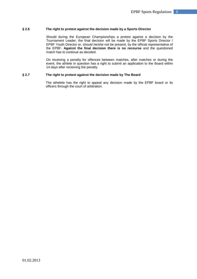#### **§ 2.6 The right to protest against the decision made by a Sports Director**

Should during the European Championships a protest against a decision by the Tournament Leader, the final decision will be made by the EPBF Sports Director / EPBF Youth Director or, should he/she not be present, by the official representative of the EPBF. **Against the final decision there is no recourse** and the questioned match has to continue as decided.

On receiving a penalty for offences between matches, after matches or during the event, the athlete in question has a right to submit an application to the Board within 14 days after recieiving the penalty.

# **§ 2.7 The right to protest against the decision made by The Board**

 The athelete has the right to appeal any decision made by the EPBF board or its officers through the court of arbitration.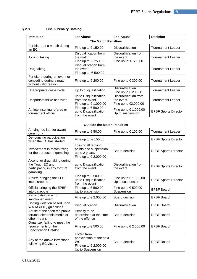| <b>Infraction</b>                                                                 | <b>1st Abuse</b>                                                    | 2nd Abuse                                                  | <b>Decision</b>             |  |  |  |  |  |
|-----------------------------------------------------------------------------------|---------------------------------------------------------------------|------------------------------------------------------------|-----------------------------|--|--|--|--|--|
| <b>The Match Penalties</b>                                                        |                                                                     |                                                            |                             |  |  |  |  |  |
| Forfeiture of a match during<br>an EC                                             | Fine up to € 150,00                                                 | Disqualification                                           | <b>Tournament Leader</b>    |  |  |  |  |  |
| Alcohol taking                                                                    | Disqualification from<br>the match<br>Fine up to: € 250,00          | Disqualification from<br>the event<br>Fine up to: € 500,00 | <b>Tournament Leader</b>    |  |  |  |  |  |
| Drug taking                                                                       | Disqualification from<br>the event<br>Fine up to: € 500,00          |                                                            | <b>Tournament Leader</b>    |  |  |  |  |  |
| Forfeiture during an event or<br>conceding during a match<br>without valid reason | Fine up to € 200,00                                                 | Fine up to € 300,00                                        | TournamentLeader            |  |  |  |  |  |
| Unapropriate dress code                                                           | Up to disqualification                                              | Disqualification<br>Fine up to $\in$ 200,00                | <b>Tournament Leader</b>    |  |  |  |  |  |
| Unsportsmanlike behavior                                                          | up to Disqualification<br>from the event<br>Fine up to € 1.000,00   | Disqualification from<br>the event<br>Fine up to €2.000,00 | <b>Tournament Leader</b>    |  |  |  |  |  |
| Athlete insulting referee or<br>tournament official                               | Fine up to $\in$ 500,00<br>up to Disqualification<br>from the event | Fine up to € 1.000,00<br>Up to suspension                  | <b>EPBF Sports Director</b> |  |  |  |  |  |

# **§ 2.8 Fine & Penalty Catalog**

| <b>Outside the Match Penalties</b>                                                            |                                                                                                     |                                           |                             |  |  |  |
|-----------------------------------------------------------------------------------------------|-----------------------------------------------------------------------------------------------------|-------------------------------------------|-----------------------------|--|--|--|
| Arriving too late for award<br>ceremony                                                       | Fine up to $\in$ 50,00                                                                              | Fine up to $\in$ 100,00                   | Tournament Leader           |  |  |  |
| Denouncing participation<br>when the EC has started                                           | Fine up to € 150,00                                                                                 |                                           | <b>EPBF Sports Director</b> |  |  |  |
| Involvement in match fixing<br>for the purpose of gambling                                    | Loss of all ranking<br>points and suspension<br>up to 2 years.<br>Fine up to € 2.000,00             | Board decision                            | <b>EPBF Sports Director</b> |  |  |  |
| Alcohol or drug taking during<br>the Youth EC and<br>participating in any form of<br>gambling | up to Disqualification<br>from the event                                                            | Disqualification from<br>the event        | <b>EPBF Sports Director</b> |  |  |  |
| Athlete bringing the EPBF<br>into disrepute                                                   | Fine up to $\in$ 500,00<br>up to Disqualification<br>from the event                                 | Fine up to € 1.000,00<br>Up to suspension | <b>EPBF Sports Director</b> |  |  |  |
| Official bringing the EPBF<br>into disrepute                                                  | Fine up to $\in$ 500,00<br>Up to suspension                                                         | Fine up to $\in$ 500,00<br>Suspension     | <b>EPBF Board</b>           |  |  |  |
| Participating in a non<br>sanctioned event                                                    | Fine up to € 2.000,00                                                                               | Board decision                            | <b>EPBF Board</b>           |  |  |  |
| Doping violation based upon<br>WADA (IOC) guidelines                                          | Disqualification                                                                                    | Disqualification                          | <b>EPBF Board</b>           |  |  |  |
| Abuse of the sport via public<br>forums, electronic media or<br>other means                   | Penalty to be<br>determined at the time<br>of the offence                                           | Board decision                            | <b>EPBF Board</b>           |  |  |  |
| Organizer failing to meet the<br>requirements of the<br><b>Specification Catalog</b>          | Fine up to $\in$ 500,00                                                                             | Fine up to € 2.000,00                     | <b>EPBF Board</b>           |  |  |  |
| Any of the above infractions<br>following EC victory                                          | Forfeit from<br>participation at the next<br><b>WC</b><br>Fine up to € 2.000,00<br>Up to Suspension | Board decision                            | <b>EPBF Board</b>           |  |  |  |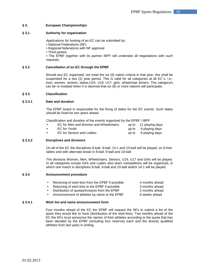# **§ 3. European Championships**

# **§ 3.1 Authority for organization**

Applications for hosting of an EC can be submitted by:

• National Federations (NF)

• Regional federations with NF approval

• Third parties

• The EPBF together with its partner IBPF will undertake all negotiations with such requests.

# **§ 3.2 Cancellation of an EC through the EPBF**

Should any EC organised, not meet the six (6) nation criteria in that year, this shall be suspended for a two (2) year period. This is valid for all categories at all EC`s, i.e.; men, women, seniors, ladies,U24, U19, U17, girls, wheelchair drivers. The category/s can be re-instated when it is deemed that six (6) or more nations will participate.

# **§ 3.3 Classification**

# **§ 3.3.1 Date and duration**

The EPBF board is responsible for the fixing of dates for the EC events. Such dates should be fixed for two years ahead.

Classification and duration of the events organized by the EPBF / IBPF

|           | EC for Men and Women and Wheelchairs: | up to 11 playing days |
|-----------|---------------------------------------|-----------------------|
|           | EC for Youth:                         | up to 8 playing days  |
| $\bullet$ | EC for Seniors and Ladies:            | up to 8 playing days  |

# **§ 3.3.2 Disciplines and divisions**

On all of the EC the disciplines 8-ball, 9-ball, 14-1 and 10-ball will be played, on 9-foot tables and with alternate break in 8-ball, 9-ball and 10-ball.

The divisions Women, Men, Wheelchairs, Seniors, U19, U17 and Girls will be played. In all categories except Girls and Ladies also team competitions will be organized, in which one match in disciplines 8-ball, 9-ball and 10-ball and/or 14.1 will be played.

# **§ 3.4 Announcement procedure**

- Receiving of wish-lists from the EPBF if possible 4 months ahead
- Returning of wish-lists to the EPBF if possible 3 months ahead
- Distribution of quotas/invoices from the EPBF 2 months ahead

Announcement of athletes by name to the EPBF 6 weeks ahead

# **§ 3.4.1 Wish list and name announcement form**

Four months ahead of the EC the EPBF will request the NFs to submit a list of the spots they would like to have (distribution of the wish-lists). Two months ahead of the EC the NFs must announce the names of their athletes according to the quota that has been decided by the EPBF (including four reserves each and the directly qualified athletes from last year) in writing.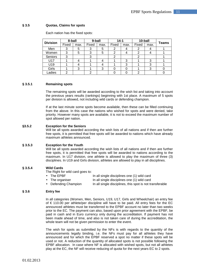# **§ 3.5 Quotas, Claims for spots**

Each nation has the fixed spots:

| <b>Division</b> | 8-ball |      | 9-ball |      | $14 - 1$ |      | 10-ball |      | <b>Teams</b> |
|-----------------|--------|------|--------|------|----------|------|---------|------|--------------|
|                 | Fixed  | max. | Fixed  | max. | Fixed    | max. | Fixed   | max. |              |
| Men             |        | b    | З      | 5    |          |      |         |      |              |
| Women           | 3      | 5    | 3      | 5    | 2        |      | 2       |      |              |
| Seniors         | 3      |      | っ      |      |          |      | 2       |      |              |
| U17             |        |      |        |      |          | 3    |         | 3    |              |
| U19             |        |      |        |      |          | 3    |         | 3    |              |
| Girls           |        | 3    |        | 3    |          |      |         | 3    |              |
| _adies          | ົ      |      | ⌒      |      |          |      | ົ       |      |              |

# **§ 3.5.1 Remaining spots**

The remaining spots will be awarded according to the wish list and taking into account the previous years results (rankings) beginning with 1st place. A maximum of 5 spots per division is allowed, not including wild cards or defending champion.

If at the last minute some spots become available, then these can be filled continuing from the above. In this case the nations who wished for spots and were denied, take priority. However many spots are available, it is not to exceed the maximum number of spot allowed per nation.

#### **§3.5.2 Exception for the Seniors**

Will be all spots awarded according the wish lists of all nations and if then are further free spots, it is permitted that free spots will be awarded to nations which have already maximum athletes announced.

#### **§ 3.5.3 Exception for the Youth**

Will be all spots awarded according the wish lists of all nations and if then are further free spots, it is permitted that free spots will be awarded to nations according to the maximum. In U17 division, one athlete is allowed to play the maximum of three (3) disciplines. In U19 and Girls division, athletes are allowed to play in all disciplines.

# **§ 3.5.4 Wild Cards**

The Right for wild card goes to:

- The EPBF In all single disciplines one (1) wild card
	- The organiser In all single disciplines one (1) wild card
	- Defending Champion In all single disciplines, this spot is not transferable

# **§ 3.6 Entry fee**

In all categories (Women, Men, Seniors, U19, U17, Girls and Wheelchair) an entry fee of  $€$  110.00 per athlete/per discipline will have to be paid. All entry fees for the EC announced athletes must be transferred to the EPBF account no later than two weeks prior to the EC. The payment can also, based upon prior agreement with the EPBF, be paid in cash and in Euro currency only during the accreditation. If payment has not been made ahead of time, and also is not taken care of during the accreditation, the whole team will not be given permission to enter the event.

The wish for spots as submitted by the NFs is with regards to the quantity of the announcements legally binding, i.e. the NFs must pay for all athletes they have announced and for which the EPBF reserved a spot no matter if these spots will be used or not. A reduction of the quantity of allocated spots is not possible following the EPBF allocation. In case where NF is allocated with wished spots, but not all athletes play at the EC, the NF will receive reducing of quota for the next years EC to 2 spots.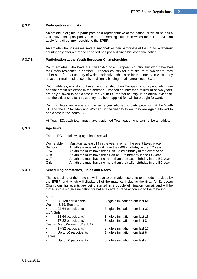# **§ 3.7 Participation eligibility**

An athlete is eligible to participate as a representative of the nation for which he has a valid citizenship/passport. Athletes representing nations in which there is no NF can apply for a direct membership to the EPBF.

An athlete who possesses several nationalities can participate at the EC for a different country only after a three year period has passed since his last participation.

#### **§ 3.7.1 Participation at the Youth European Championships**

Youth athletes, who have the citizenship of a European country, but who have had their main residence in another European country for a minimum of two years, may either start for that country of which their citizenship is or for the country in which they have their main residence; this decision is binding on all future Youth EC's.

Youth athletes, who do not have the citizenship of an European country and who have had their main residence in the another European country for a minimum of two years, are only allowed to participate in the Youth EC for that country, if the official evidence, that the citizenship for this country has been applied for, will be brought forward.

Youth athletes are in one and the same year allowed to participate both at the Youth EC and the EC for Men and Women. In the year to follow they are again allowed to participate in the Youth EC.

At Youth EC, each team must have appionted Teamleader who can not be an athlete.

# **§ 3.8 Age limits**

For the EC the following age limits are valid:

| Women/Men       | Must turn at least 14 in the year in which the event takes place     |
|-----------------|----------------------------------------------------------------------|
| <b>Seniors</b>  | An athlete must at least have their 40th birthday in the EC year     |
| U24             | An athlete must have their 19th - 23rd birthday in the event year    |
| U <sub>19</sub> | An athlete must have their 17th or 18th birthday in the EC year      |
| U <sub>17</sub> | An athlete must have no more than their 16th birthday in the EC year |
| Girls           | An athlete must have no more than their 18th birthday in the EC year |

#### **§ 3.9 Scheduling of Matches, Fields and Races**

The scheduling of the matches will have to be made according to a model provided by the EPBF, and which will display all of the matches including the final. All European Championships events are being started in a double elimination format, and will be turned into a single elimination format at a certain stage according to the following:

| Men;       |                             |                                 |
|------------|-----------------------------|---------------------------------|
| $\bullet$  | 65-128 participants'        | Single elimination from last 64 |
|            | Women, U19, Seniors;        |                                 |
|            | 33-64 participants'         | Single elimination from last 32 |
| U17; Girls |                             |                                 |
| $\bullet$  | 33-64 participants'         | Single elimination from last 16 |
| $\bullet$  | 17-32 participants'         | Single elimination from last 8  |
|            | Teams: Men, Women, U19, U17 |                                 |
| $\bullet$  | 17-32 participants'         | Single elimination from last 16 |
| $\bullet$  | Up to 16 participants'      | Single elimination from last 8  |
| Ladies;    |                             |                                 |
| $\bullet$  | Up to 16 participants'      | Single elimination from last 4  |
|            |                             |                                 |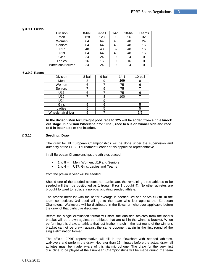# **§ 3.9.1 Fields**

| Division          | 8-ball | 9-ball | $14 - 1$ | 10-ball | Teams |
|-------------------|--------|--------|----------|---------|-------|
| Men               | 128    | 128    | 96       | 96      | 32    |
| Women             | 64     | 64     | 48       | 48      | 24    |
| Seniors           | 64     | 64     | 48       | 48      | 16    |
| U17               | 48     | 48     | 32       | 48      | 16    |
| U19               | 64     | 64     | 48       | 48      | 16    |
| Girls             | 24     | 24     |          | 24      |       |
| Ladies            | 16     | 16     |          | 16      |       |
| Wheelchair driver | 24     | 24     |          | 24      |       |

#### **§ 3.9.2 Races**

| <b>Division</b>   | 8-ball | 9-ball | $14 - 1$ | 10-ball |
|-------------------|--------|--------|----------|---------|
| Men               | 8      |        | 100      | 8       |
| Women             | 6      |        | 75       | 6       |
| Seniors           |        |        | 75       |         |
| U17               | 6      |        | 75       | 6       |
| U19               |        | 8      | 100      |         |
| U24               |        | 9      |          |         |
| Girls             | 5      | 6      |          | 5       |
| Ladies            | 5      | 5      |          | 5       |
| Wheelchair driver | 5      |        |          | 6/5     |

**In the divison Men for Straight pool, race to 125 will be added from single knock out stage. In division Wheelchair for 10ball, race to 6 is on winner side and race to 5 in loser side of the bracket.** 

#### **§ 3.10 Seeding / Draw**

The draw for all European Championships will be done under the supervision and authority of the EPBF Tournament Leader or his appointed representative.

In all European Championships the athletes placed:

- 1 to 8 in Men, Women, U19 and Seniors
- 1 to 4 in U17, Girls, Ladies and Teams

from the previous year will be seeded.

Should one of the seeded athletes not participate, the remaining three athletes to be seeded will then be positioned as 1 trough 8 (or 1 trought 4). No other athletes are brought forward to replace a non-participating seeded athlete.

The bronze medalist with the better average is seeded 3rd and or 5th till 8th. In the team competition, 3rd seed will go to the team who lost against the European Champions. Walkovers will be distributed in the flowchart wherever applicable before the draw of that particular discipline.

Before the single elimination format will start, the qualified athletes from the loser's bracket will be drawn against the athletes that are still in the winner's bracket. When performing this draw, an athlete that lost his/her match in the last round of the winner's bracket cannot be drawn against the same opponent again in the first round of the single elimination format.

The official EPBF representative will fill in the flowchart with seeded athletes, walkovers and perform the draw. Not later than 15 minutes before the actual draw, all athletes must be made aware of this via microphone. The draw for the very first discipline to be played at the European Championships will be made during the team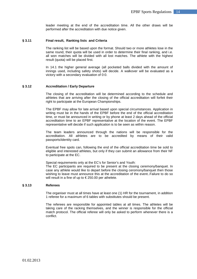leader meeting at the end of the accreditation time. All the other draws will be performed after the accreditation with due notice given.

#### **§ 3.11 Final result, Ranking lists and Criteria**

The ranking list will be based upon the format. Should two or more athletes lose in the same round, their quota will be used in order to determine their final ranking, and i.e. all won matches will be divided with all lost matches. The athlete with the highest result (quota) will be placed first.

In 14.1 the higher general average (all pocketed balls divided with the amount of innings used, including safety shots) will decide. A walkover will be evaluated as a victory with a secondary evaluation of 0:0.

#### **§ 3.12 Accreditation / Early Departure**

The closing of the accreditation will be determined according to the schedule and athletes that are arriving after the closing of the official accreditation will forfeit their right to participate at the European Championships.

The EPBF may allow for late arrival based upon special circumstances. Application in writing must be in the hands of the EPBF before the end of the official accreditation time, or must be announced in writing or by phone at least 2 days ahead of the official accreditation time to an EPBF representative at the location of the event. The EPBF representative will decide if such application is to be seen as within reason.

The team leaders announced through the nations will be responsible for the accreditation. All athletes are to be accredited by means of their valid passports/identity card.

Eventual free spots can, following the end of the official accreditation time be sold to eligible and interested athletes, but only if they can submit an allowance from their NF to participate at the EC.

Special requirements only at the EC's for Senior's and Youth:

The EC participants are required to be present at the closing ceremony/banquet. In case any athlete would like to depart before the closing ceromony/banquet then those wishing to leave must announce this at the accreditation of the event..Failure to do so will result in a fine of up to  $\epsilon$  250.00 per athelete.

#### **§ 3.13 Referees**

The organiser must at all times have at least one (1) HR for the tournament, in addition 1 referee for a maximum of 6 tables with substitutes should be present.

The referees are responsible for appointed tables at all times. The athletes will be taking care of the racking themselves, and the winner is responsible for the official match protocol. The official referee will only be asked to perform whenever there is a conflict.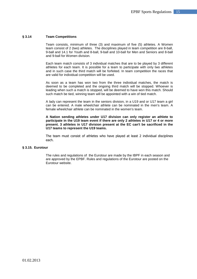#### **§ 3.14 Team Competitions**

Team consists, minimum of three (3) and maximum of five (5) athletes. A Women team consist of 2 (two) athletes. The disciplines played in team competition are 8-ball, 9-ball and 14.1 for Youth and 8-ball, 9-ball and 10-ball for Men and Seniors and 8-ball and 9-ball for Women division.

Each team match consists of 3 individual matches that are to be played by 3 different athletes for each team. It is possible for a team to participate with only two athletes and in such case the third match will be forfeited. In team competition the races that are valid for individual competition will be used.

As soon as a team has won two from the three individual matches, the match is deemed to be completed and the ongoing third match will be stopped. Whoever is leading when such a match is stopped, will be deemed to have won this match. Should such match be tied, winning team will be appointed with a win of tied match.

A lady can represent the team in the seniors division, in a U19 and or U17 team a girl can be entered. A male wheelchair athlete can be nominated in the men's team. A female wheelchair athlete can be nominated in the women's team.

**A Nation sending athletes under U17 division can only register an athlete to participate in the U19 team event if there are only 2 athletes in U17 or 4 or more present. 3 athletes in U17 division present at the EC can't be sacrificed in the U17 teams to represent the U19 teams.** 

The team must consist of athletes who have played at least 2 individual disciplines each.

# **§ 3.15. Eurotour**

The rules and regulations of the Eurotour are made by the IBPF in each season and are approved by the EPBF. Rules and regulations of the Eurotour are posted on the Eurotour website.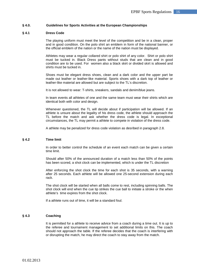# **§ 4.0. Guidelines for Sports Activities at the European Championships**

#### **§ 4.1 Dress Code**

The playing uniform must meet the level of the competition and be in a clean, proper and in good condition. On the polo shirt an emblem in form of the national banner, or the official emblem of the nation or the name of the nation must be displayed.

Athletes may wear a regular collared shirt or polo shirt of any color. Shirt or polo shirt must be tucked in. Black Dress pants without studs that are clean and in good condition are to be used. For women also a black skirt or divided skirt is allowed and shirts must be tucked in.

Shoes must be elegant dress shoes, clean and a dark color and the upper part be made out leather or leather-like material. Sports shoes with a dark top of leather or leather-like material are allowed but are subject to the TL's discretion.

It is not allowed to wear: T-shirts, sneakers, sandals and denim/blue jeans.

In team events all athletes of one and the same team must wear their shirts which are identical both with color and design.

Whenever questioned, the TL will decide about if participation will be allowed. If an athlete is unsure about the legality of his dress code, the athlete should approach the TL before the match and ask whether the dress code is legal. In exceptional circumstances, the TL may permit a athlete to compete in violation of the dress code.

A athlete may be penalized for dress code violation as desribed in paragraph 2.8.

# **§ 4.2 Time limit**

In order to better control the schedule of an event each match can be given a certain time limit.

Should after 50% of the announced duration of a match less than 50% of the points has been scored, a shot clock can be implemented, which is under the TL discretion

After enforcing the shot clock the time for each shot is 35 seconds, with a warning after 25 seconds. Each athlete will be allowed one 25-second extension during each rack.

The shot clock will be started when all balls come to rest, including spinning balls. The shot clock will end when the cue tip strikes the cue ball to initiate a stroke or the when athlete's time expires from the shot clock.

If a athlete runs out of time, it will be a standard foul.

# **§ 4.3 Coaching**

It is permitted for a athlete to receive advice from a coach during a time out. It is up to the referee and tournament management to set additional limits on this. The coach should not approach the table. If the referee decides that the coach is interfering with or disrupting the match, he may direct the coach to stay away from the match.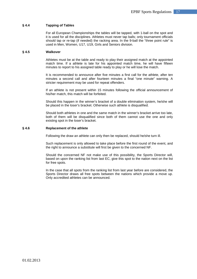# **§ 4.4 Tapping of Tables**

For all European Championships the tables will be tapped, with 1-ball on the spot and it is used for all the disciplines. Athletes must never tap balls; only tournament officials should tap or re-tap (if needed) the racking area. In the 9-ball the "three point rule" is used in Men, Women, U17, U19, Girls and Seniors division.

#### **§ 4.5 Walkover**

Athletes must be at the table and ready to play their assigned match at the appointed match time. If a athlete is late for his appointed match time, he will have fifteen minutes to report to his assigned table ready to play or he will lose the match.

It is recommended to announce after five minutes a first call for the athlete, after ten minutes a second call and after fourteen minutes a final "one minute" warning. A stricter requirement may be used for repeat offenders.

If an athlete is not present within 15 minutes following the official announcement of his/her match, this match will be forfeited.

Should this happen in the winner's bracket of a double elimination system, he/she will be placed in the loser's bracket. Otherwise such athlete is disqualified.

Should both athletes in one and the same match in the winner's bracket arrive too late, both of them will be disqualified since both of them cannot use the one and only existing spot in the loser's bracket.

#### **§ 4.6 Replacement of the athlete**

Following the draw an athlete can only then be replaced, should he/she turn ill.

Such replacement is only allowed to take place before the first round of the event, and the right to announce a substitute will first be given to the concerned NF.

Should the concerned NF not make use of this possibility, the Sports Director will, based on upon the ranking list from last EC, give this spot to the nation next on the list for free spots.

In the case that all spots from the ranking list from last year before are considered, the Sports Director draws all free spots between the nations which provide a move up. Only accredited athletes can be announced.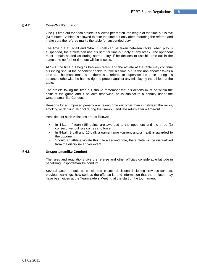# **§ 4.7 Time-Out Regulation**

One (1) time-out for each athlete is allowed per match, the length of the time-out is five (5) minutes. Athlete is allowed to take the time out only after informing the referee and make sure the referee marks the table for suspended play.

The time out at 8-ball and 9-ball 10-ball can be taken between racks, when play is suspended, the athlete can use his right for time-out only at any break. The opponent must remain seated as during normal play, if he decides to use his time-out in the same time no further time out will be allowed.

At 14.1, the time out begins between racks; and the athlete at the table may continue his inning should the opponent decide to take his time out. If the non-shooter takes a time out, he must make sure there is a referee to supervise the table during his absence; otherwise he has no right to protest against any misplay by the athlete at the table.

The athlete taking the time out should remember that his actions must be within the spirit of the game and if he acts otherwise, he is subject to a penalty under the Unsportsmanlike Conduct.

Reasons for an imposed penalty are: taking time out other than in between the racks, smoking or drinking alcohol during the time-out and late return after a time-out.

Penalties for such violations are as follows;

- In 14.1 fifteen (15) points are awarded to the opponent and the three (3) consecutive foul rule comes into force.
- In 8-ball, 9-ball and 10-ball, a game/frame (current and/or next) is awarded to the opponent.
- Should an athlete violate this rule a second time, the athlete will be disqualified from the discipline and/or event.

#### **§ 4.8 Unsportsmanlike Conduct**

The rules and regulations give the referee and other officials considerable latitude in penalizing unsportsmanlike conduct.

Several factors should be considered in such decisions, including previous conduct, previous warnings, how serious the offense is, and information that the athletes may have been given at the Teamleaders Meeting at the start of the tournament.